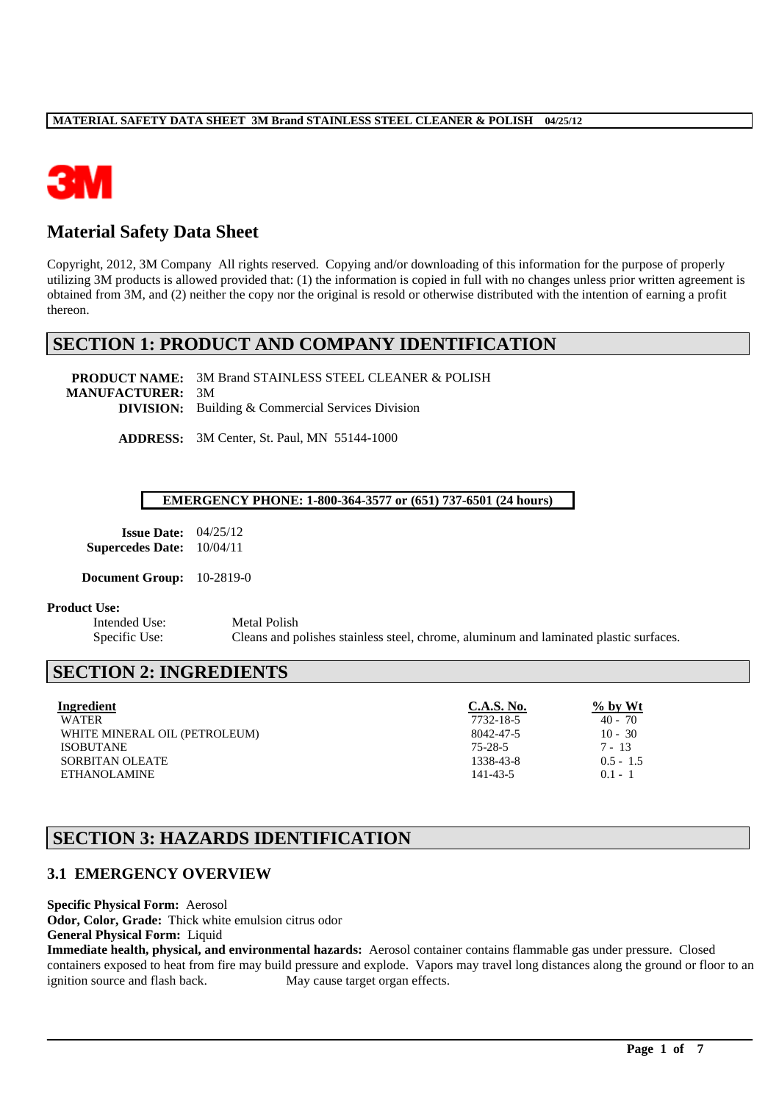

# **Material Safety Data Sheet**

Copyright, 2012, 3M Company All rights reserved. Copying and/or downloading of this information for the purpose of properly utilizing 3M products is allowed provided that: (1) the information is copied in full with no changes unless prior written agreement is obtained from 3M, and (2) neither the copy nor the original is resold or otherwise distributed with the intention of earning a profit thereon.

# **SECTION 1: PRODUCT AND COMPANY IDENTIFICATION**

**PRODUCT NAME:** 3M Brand STAINLESS STEEL CLEANER & POLISH **MANUFACTURER:** 3M **DIVISION:** Building & Commercial Services Division

**ADDRESS:** 3M Center, St. Paul, MN 55144-1000

#### **EMERGENCY PHONE: 1-800-364-3577 or (651) 737-6501 (24 hours)**

| <b>Issue Date:</b>      | 04/25/12 |
|-------------------------|----------|
| <b>Supercedes Date:</b> | 10/04/11 |

**Document Group:** 10-2819-0

#### **Product Use:**

Intended Use: Metal Polish Specific Use: Cleans and polishes stainless steel, chrome, aluminum and laminated plastic surfaces.

# **SECTION 2: INGREDIENTS**

| Ingredient                    | <b>C.A.S. No.</b> | $\%$ by Wt  |
|-------------------------------|-------------------|-------------|
| <b>WATER</b>                  | 7732-18-5         | $40 - 70$   |
| WHITE MINERAL OIL (PETROLEUM) | 8042-47-5         | $10 - 30$   |
| <b>ISOBUTANE</b>              | 75-28-5           | $7 - 13$    |
| SORBITAN OLEATE               | 1338-43-8         | $0.5 - 1.5$ |
| <b>ETHANOLAMINE</b>           | 141-43-5          | $0.1 - 1$   |

# **SECTION 3: HAZARDS IDENTIFICATION**

## **3.1 EMERGENCY OVERVIEW**

**Specific Physical Form:** Aerosol

**Odor, Color, Grade:** Thick white emulsion citrus odor

**General Physical Form:** Liquid

**Immediate health, physical, and environmental hazards:** Aerosol container contains flammable gas under pressure. Closed containers exposed to heat from fire may build pressure and explode. Vapors may travel long distances along the ground or floor to an ignition source and flash back. May cause target organ effects.

\_\_\_\_\_\_\_\_\_\_\_\_\_\_\_\_\_\_\_\_\_\_\_\_\_\_\_\_\_\_\_\_\_\_\_\_\_\_\_\_\_\_\_\_\_\_\_\_\_\_\_\_\_\_\_\_\_\_\_\_\_\_\_\_\_\_\_\_\_\_\_\_\_\_\_\_\_\_\_\_\_\_\_\_\_\_\_\_\_\_\_\_\_\_\_\_\_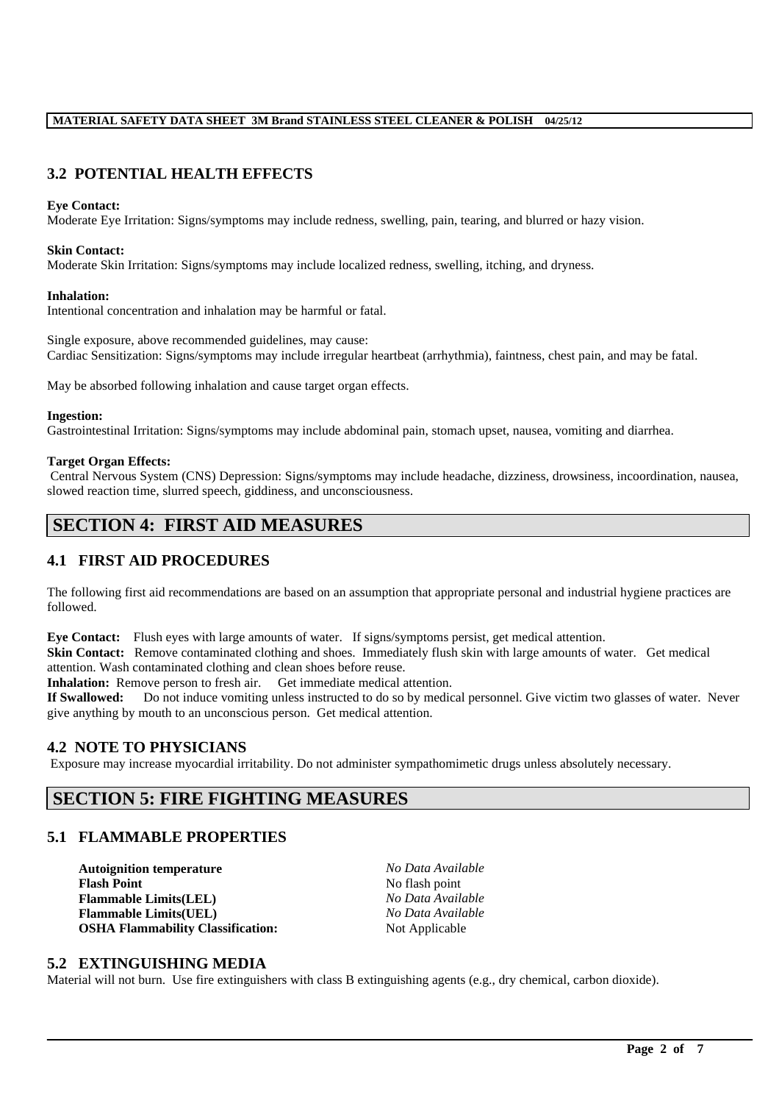## **3.2 POTENTIAL HEALTH EFFECTS**

#### **Eye Contact:**

Moderate Eye Irritation: Signs/symptoms may include redness, swelling, pain, tearing, and blurred or hazy vision.

#### **Skin Contact:**

Moderate Skin Irritation: Signs/symptoms may include localized redness, swelling, itching, and dryness.

#### **Inhalation:**

Intentional concentration and inhalation may be harmful or fatal.

Single exposure, above recommended guidelines, may cause: Cardiac Sensitization: Signs/symptoms may include irregular heartbeat (arrhythmia), faintness, chest pain, and may be fatal.

May be absorbed following inhalation and cause target organ effects.

#### **Ingestion:**

Gastrointestinal Irritation: Signs/symptoms may include abdominal pain, stomach upset, nausea, vomiting and diarrhea.

#### **Target Organ Effects:**

Central Nervous System (CNS) Depression: Signs/symptoms may include headache, dizziness, drowsiness, incoordination, nausea, slowed reaction time, slurred speech, giddiness, and unconsciousness.

# **SECTION 4: FIRST AID MEASURES**

## **4.1 FIRST AID PROCEDURES**

The following first aid recommendations are based on an assumption that appropriate personal and industrial hygiene practices are followed.

**Eye Contact:** Flush eyes with large amounts of water. If signs/symptoms persist, get medical attention.

**Skin Contact:** Remove contaminated clothing and shoes. Immediately flush skin with large amounts of water. Get medical attention. Wash contaminated clothing and clean shoes before reuse.

Inhalation: Remove person to fresh air. Get immediate medical attention.

**If Swallowed:** Do not induce vomiting unless instructed to do so by medical personnel. Give victim two glasses of water. Never give anything by mouth to an unconscious person. Get medical attention.

### **4.2 NOTE TO PHYSICIANS**

Exposure may increase myocardial irritability. Do not administer sympathomimetic drugs unless absolutely necessary.

## **SECTION 5: FIRE FIGHTING MEASURES**

### **5.1 FLAMMABLE PROPERTIES**

**Autoignition temperature** *No Data Available*<br> **Flash Point No flash point No flash point Flammable Limits(LEL)** *No Data Available*  $Flammable Limits(UEL)$ **OSHA Flammability Classification:** Not Applicable

**Flash Point** No flash point

#### **5.2 EXTINGUISHING MEDIA**

Material will not burn. Use fire extinguishers with class B extinguishing agents (e.g., dry chemical, carbon dioxide).

\_\_\_\_\_\_\_\_\_\_\_\_\_\_\_\_\_\_\_\_\_\_\_\_\_\_\_\_\_\_\_\_\_\_\_\_\_\_\_\_\_\_\_\_\_\_\_\_\_\_\_\_\_\_\_\_\_\_\_\_\_\_\_\_\_\_\_\_\_\_\_\_\_\_\_\_\_\_\_\_\_\_\_\_\_\_\_\_\_\_\_\_\_\_\_\_\_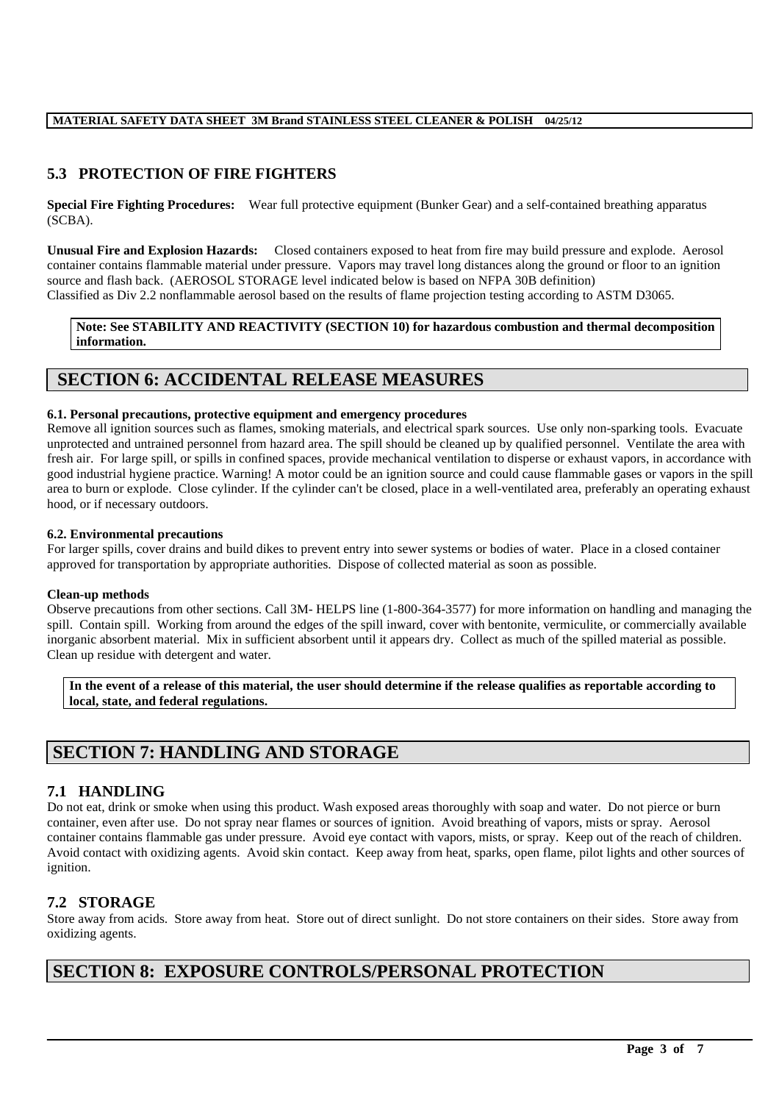## **5.3 PROTECTION OF FIRE FIGHTERS**

**Special Fire Fighting Procedures:** Wear full protective equipment (Bunker Gear) and a self-contained breathing apparatus (SCBA).

**Unusual Fire and Explosion Hazards:** Closed containers exposed to heat from fire may build pressure and explode. Aerosol container contains flammable material under pressure. Vapors may travel long distances along the ground or floor to an ignition source and flash back. (AEROSOL STORAGE level indicated below is based on NFPA 30B definition) Classified as Div 2.2 nonflammable aerosol based on the results of flame projection testing according to ASTM D3065.

**Note: See STABILITY AND REACTIVITY (SECTION 10) for hazardous combustion and thermal decomposition information.**

## **SECTION 6: ACCIDENTAL RELEASE MEASURES**

#### **6.1. Personal precautions, protective equipment and emergency procedures**

Remove all ignition sources such as flames, smoking materials, and electrical spark sources. Use only non-sparking tools. Evacuate unprotected and untrained personnel from hazard area. The spill should be cleaned up by qualified personnel. Ventilate the area with fresh air. For large spill, or spills in confined spaces, provide mechanical ventilation to disperse or exhaust vapors, in accordance with good industrial hygiene practice. Warning! A motor could be an ignition source and could cause flammable gases or vapors in the spill area to burn or explode. Close cylinder. If the cylinder can't be closed, place in a well-ventilated area, preferably an operating exhaust hood, or if necessary outdoors.

#### **6.2. Environmental precautions**

For larger spills, cover drains and build dikes to prevent entry into sewer systems or bodies of water. Place in a closed container approved for transportation by appropriate authorities. Dispose of collected material as soon as possible.

#### **Clean-up methods**

Observe precautions from other sections. Call 3M- HELPS line (1-800-364-3577) for more information on handling and managing the spill. Contain spill. Working from around the edges of the spill inward, cover with bentonite, vermiculite, or commercially available inorganic absorbent material. Mix in sufficient absorbent until it appears dry. Collect as much of the spilled material as possible. Clean up residue with detergent and water.

**In the event of a release of this material, the user should determine if the release qualifies as reportable according to local, state, and federal regulations.**

# **SECTION 7: HANDLING AND STORAGE**

### **7.1 HANDLING**

Do not eat, drink or smoke when using this product. Wash exposed areas thoroughly with soap and water. Do not pierce or burn container, even after use. Do not spray near flames or sources of ignition. Avoid breathing of vapors, mists or spray. Aerosol container contains flammable gas under pressure. Avoid eye contact with vapors, mists, or spray. Keep out of the reach of children. Avoid contact with oxidizing agents. Avoid skin contact. Keep away from heat, sparks, open flame, pilot lights and other sources of ignition.

### **7.2 STORAGE**

Store away from acids. Store away from heat. Store out of direct sunlight. Do not store containers on their sides. Store away from oxidizing agents.

\_\_\_\_\_\_\_\_\_\_\_\_\_\_\_\_\_\_\_\_\_\_\_\_\_\_\_\_\_\_\_\_\_\_\_\_\_\_\_\_\_\_\_\_\_\_\_\_\_\_\_\_\_\_\_\_\_\_\_\_\_\_\_\_\_\_\_\_\_\_\_\_\_\_\_\_\_\_\_\_\_\_\_\_\_\_\_\_\_\_\_\_\_\_\_\_\_

## **SECTION 8: EXPOSURE CONTROLS/PERSONAL PROTECTION**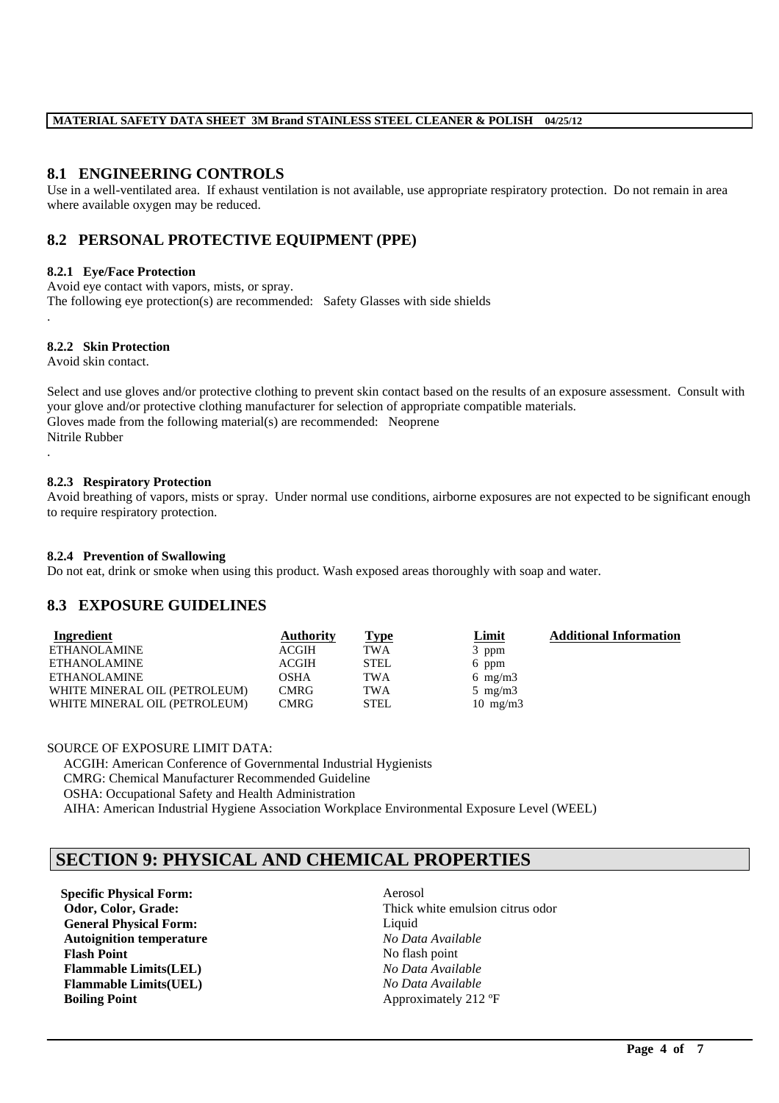## **8.1 ENGINEERING CONTROLS**

Use in a well-ventilated area. If exhaust ventilation is not available, use appropriate respiratory protection. Do not remain in area where available oxygen may be reduced.

## **8.2 PERSONAL PROTECTIVE EQUIPMENT (PPE)**

#### **8.2.1 Eye/Face Protection**

Avoid eye contact with vapors, mists, or spray. The following eye protection(s) are recommended: Safety Glasses with side shields

#### **8.2.2 Skin Protection**

Avoid skin contact.

.

Select and use gloves and/or protective clothing to prevent skin contact based on the results of an exposure assessment. Consult with your glove and/or protective clothing manufacturer for selection of appropriate compatible materials. Gloves made from the following material(s) are recommended: Neoprene Nitrile Rubber .

#### **8.2.3 Respiratory Protection**

Avoid breathing of vapors, mists or spray. Under normal use conditions, airborne exposures are not expected to be significant enough to require respiratory protection.

#### **8.2.4 Prevention of Swallowing**

Do not eat, drink or smoke when using this product. Wash exposed areas thoroughly with soap and water.

### **8.3 EXPOSURE GUIDELINES**

| Ingredient                    | <b>Authority</b> | <u>Type</u> | <u>Limit</u>      | <b>Additional Information</b> |
|-------------------------------|------------------|-------------|-------------------|-------------------------------|
| <b>ETHANOLAMINE</b>           | ACGIH            | <b>TWA</b>  | 3 ppm             |                               |
| <b>ETHANOLAMINE</b>           | <b>ACGIH</b>     | <b>STEL</b> | 6 ppm             |                               |
| ETHANOLAMINE                  | OSHA             | <b>TWA</b>  | 6 mg/m $3$        |                               |
| WHITE MINERAL OIL (PETROLEUM) | <b>CMRG</b>      | <b>TWA</b>  | 5 mg/m $3$        |                               |
| WHITE MINERAL OIL (PETROLEUM) | <b>CMRG</b>      | <b>STEL</b> | $10 \text{ mg/m}$ |                               |

#### SOURCE OF EXPOSURE LIMIT DATA:

ACGIH: American Conference of Governmental Industrial Hygienists CMRG: Chemical Manufacturer Recommended Guideline OSHA: Occupational Safety and Health Administration AIHA: American Industrial Hygiene Association Workplace Environmental Exposure Level (WEEL)

# **SECTION 9: PHYSICAL AND CHEMICAL PROPERTIES**

**Specific Physical Form:** Aerosol **General Physical Form:** Liquid **Autoignition temperature** *No Data Available* **Flash Point** No flash point **Flammable Limits(LEL)** *No Data Available* **Flammable Limits(UEL)** *No Data Available* **Boiling Point** Approximately 212 °F

**Odor, Color, Grade: Thick white emulsion citrus odor** 

\_\_\_\_\_\_\_\_\_\_\_\_\_\_\_\_\_\_\_\_\_\_\_\_\_\_\_\_\_\_\_\_\_\_\_\_\_\_\_\_\_\_\_\_\_\_\_\_\_\_\_\_\_\_\_\_\_\_\_\_\_\_\_\_\_\_\_\_\_\_\_\_\_\_\_\_\_\_\_\_\_\_\_\_\_\_\_\_\_\_\_\_\_\_\_\_\_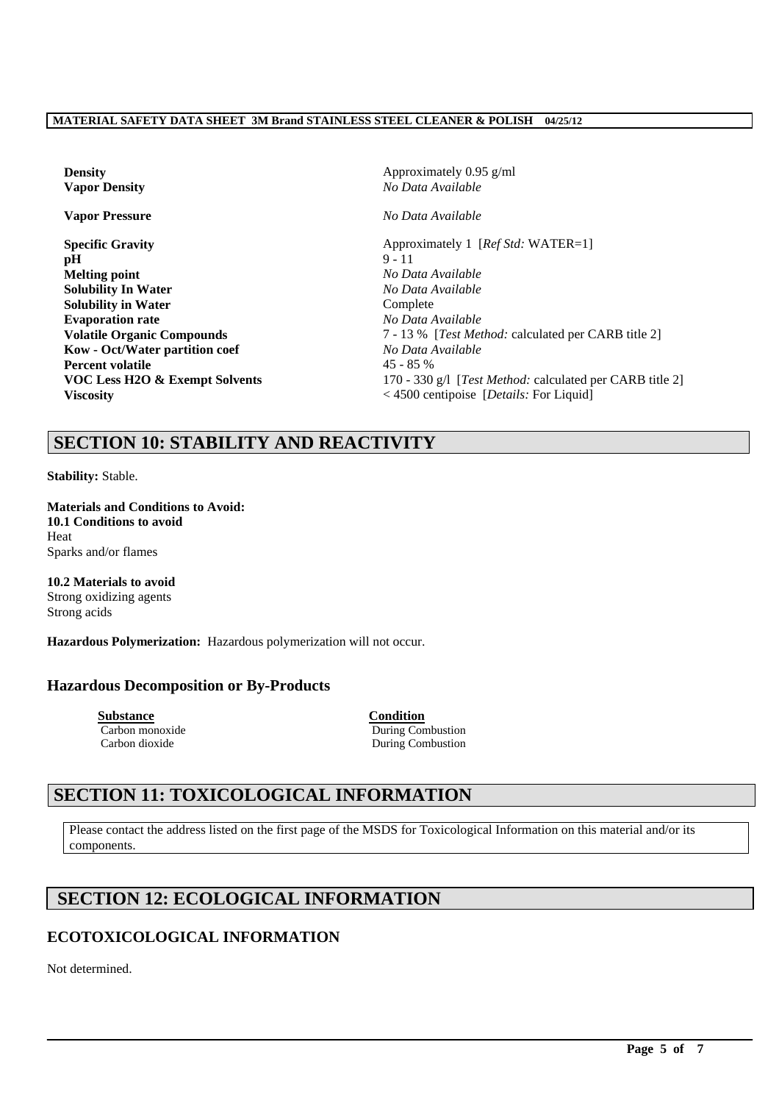| <b>Density</b>                    | Approximately $0.95$ g/ml                         |  |  |
|-----------------------------------|---------------------------------------------------|--|--|
| <b>Vapor Density</b>              | No Data Available                                 |  |  |
| <b>Vapor Pressure</b>             | No Data Available                                 |  |  |
| <b>Specific Gravity</b>           | Approximately 1 [Ref Std: WATER=1]                |  |  |
| pH                                | $9 - 11$                                          |  |  |
| <b>Melting point</b>              | No Data Available                                 |  |  |
| <b>Solubility In Water</b>        | No Data Available                                 |  |  |
| <b>Solubility in Water</b>        | Complete                                          |  |  |
| <b>Evaporation rate</b>           | No Data Available                                 |  |  |
| <b>Volatile Organic Compounds</b> | 7 - 13 % [Test Method: calculated per C           |  |  |
| Kow - Oct/Water partition coef    | No Data Available                                 |  |  |
| <b>Percent volatile</b>           | $45 - 85%$                                        |  |  |
| VOC Less H2O & Exempt Solvents    | 170 - 330 g/l [Test Method: calculated p          |  |  |
| <b>Viscosity</b>                  | $<$ 4500 centipoise [ <i>Details:</i> For Liquid] |  |  |

**Density** Approximately 0.95 g/ml **Vapor Density** *No Data Available* **Vapor Pressure** *No Data Available* **Specific Gravity** Approximately 1 [*Ref Std:* WATER=1] **Melting point** *No Data Available* **Solubility In Water** *No Data Available* **Complete Evaporation rate** *No Data Available* **Volatile Organic Compounds** 7 - 13 % [*Test Method:* calculated per CARB title 2]  $No Data Available$ **Percent volatile** 45 - 85 % 170 - 330 g/l [*Test Method: calculated per CARB title 2*]

# **SECTION 10: STABILITY AND REACTIVITY**

**Stability:** Stable.

**Materials and Conditions to Avoid: 10.1 Conditions to avoid** Heat Sparks and/or flames

**10.2 Materials to avoid** Strong oxidizing agents Strong acids

**Hazardous Polymerization:** Hazardous polymerization will not occur.

## **Hazardous Decomposition or By-Products**

**Substance**<br> **Carbon monoxide**<br> **Carbon monoxide**<br> **Condition**<br> **Condition** 

During Combustion Carbon dioxide During Combustion

# **SECTION 11: TOXICOLOGICAL INFORMATION**

Please contact the address listed on the first page of the MSDS for Toxicological Information on this material and/or its components.

\_\_\_\_\_\_\_\_\_\_\_\_\_\_\_\_\_\_\_\_\_\_\_\_\_\_\_\_\_\_\_\_\_\_\_\_\_\_\_\_\_\_\_\_\_\_\_\_\_\_\_\_\_\_\_\_\_\_\_\_\_\_\_\_\_\_\_\_\_\_\_\_\_\_\_\_\_\_\_\_\_\_\_\_\_\_\_\_\_\_\_\_\_\_\_\_\_

# **SECTION 12: ECOLOGICAL INFORMATION**

# **ECOTOXICOLOGICAL INFORMATION**

Not determined.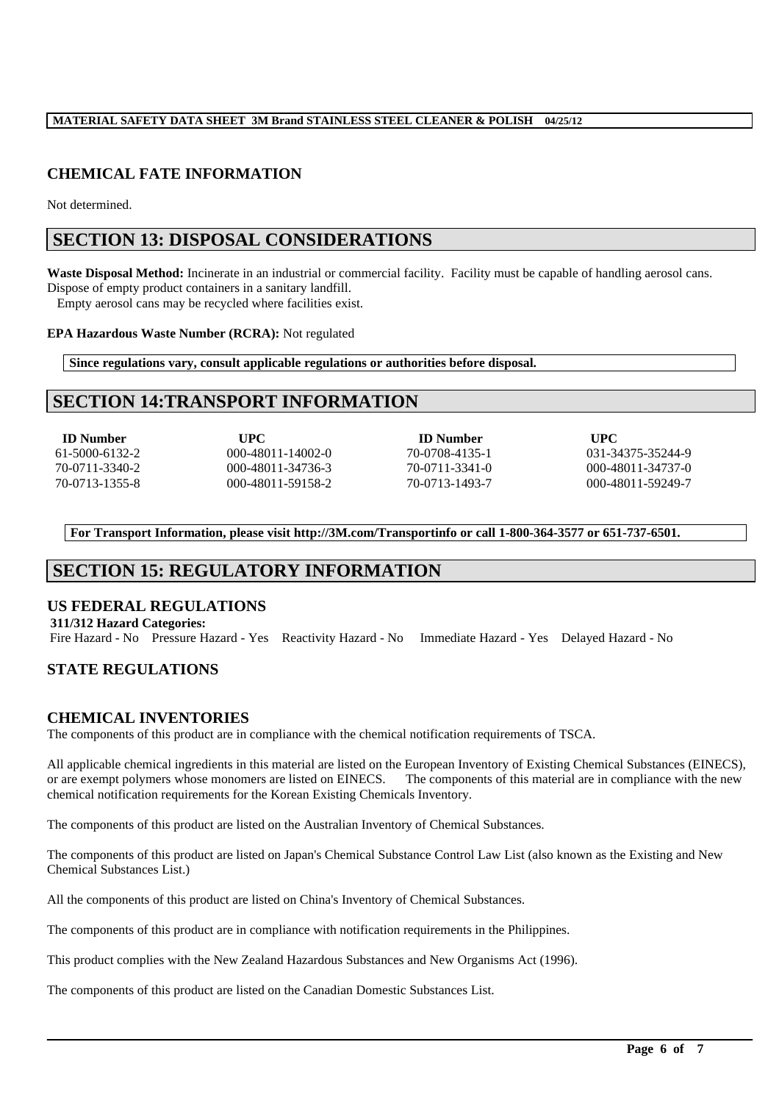## **CHEMICAL FATE INFORMATION**

Not determined.

## **SECTION 13: DISPOSAL CONSIDERATIONS**

**Waste Disposal Method:** Incinerate in an industrial or commercial facility. Facility must be capable of handling aerosol cans. Dispose of empty product containers in a sanitary landfill. Empty aerosol cans may be recycled where facilities exist.

#### **EPA Hazardous Waste Number (RCRA):** Not regulated

**Since regulations vary, consult applicable regulations or authorities before disposal.**

## **SECTION 14:TRANSPORT INFORMATION**

**ID Number UPC ID Number UPC** 61-5000-6132-2 000-48011-14002-0 70-0708-4135-1 031-34375-35244-9 70-0711-3340-2 000-48011-34736-3 70-0711-3341-0 000-48011-34737-0 70-0713-1355-8 000-48011-59158-2 70-0713-1493-7 000-48011-59249-7

**For Transport Information, please visit http://3M.com/Transportinfo or call 1-800-364-3577 or 651-737-6501.**

# **SECTION 15: REGULATORY INFORMATION**

### **US FEDERAL REGULATIONS**

**311/312 Hazard Categories:** Fire Hazard - No Pressure Hazard - Yes Reactivity Hazard - No Immediate Hazard - Yes Delayed Hazard - No

## **STATE REGULATIONS**

### **CHEMICAL INVENTORIES**

The components of this product are in compliance with the chemical notification requirements of TSCA.

All applicable chemical ingredients in this material are listed on the European Inventory of Existing Chemical Substances (EINECS), or are exempt polymers whose monomers are listed on EINECS. The components of this material are in compliance with the new chemical notification requirements for the Korean Existing Chemicals Inventory.

The components of this product are listed on the Australian Inventory of Chemical Substances.

The components of this product are listed on Japan's Chemical Substance Control Law List (also known as the Existing and New Chemical Substances List.)

\_\_\_\_\_\_\_\_\_\_\_\_\_\_\_\_\_\_\_\_\_\_\_\_\_\_\_\_\_\_\_\_\_\_\_\_\_\_\_\_\_\_\_\_\_\_\_\_\_\_\_\_\_\_\_\_\_\_\_\_\_\_\_\_\_\_\_\_\_\_\_\_\_\_\_\_\_\_\_\_\_\_\_\_\_\_\_\_\_\_\_\_\_\_\_\_\_

All the components of this product are listed on China's Inventory of Chemical Substances.

The components of this product are in compliance with notification requirements in the Philippines.

This product complies with the New Zealand Hazardous Substances and New Organisms Act (1996).

The components of this product are listed on the Canadian Domestic Substances List.